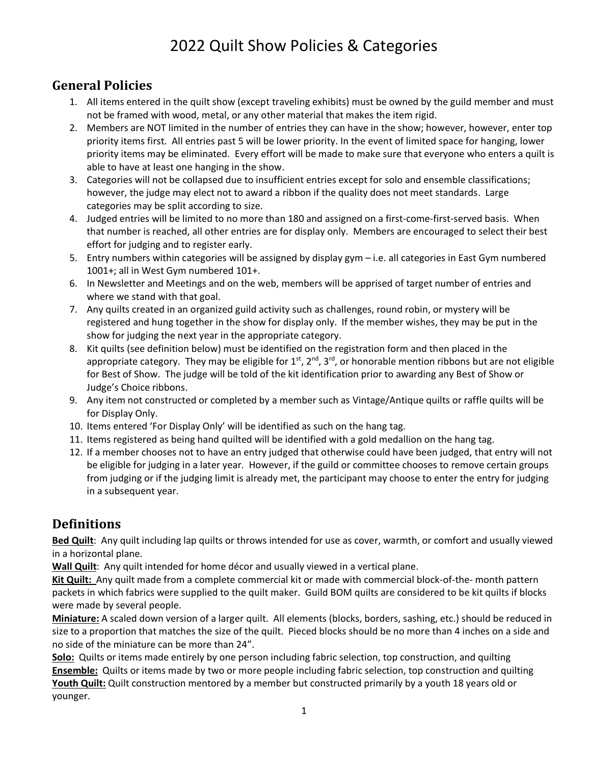# 2022 Quilt Show Policies & Categories

### **General Policies**

- 1. All items entered in the quilt show (except traveling exhibits) must be owned by the guild member and must not be framed with wood, metal, or any other material that makes the item rigid.
- 2. Members are NOT limited in the number of entries they can have in the show; however, however, enter top priority items first. All entries past 5 will be lower priority. In the event of limited space for hanging, lower priority items may be eliminated. Every effort will be made to make sure that everyone who enters a quilt is able to have at least one hanging in the show.
- 3. Categories will not be collapsed due to insufficient entries except for solo and ensemble classifications; however, the judge may elect not to award a ribbon if the quality does not meet standards. Large categories may be split according to size.
- 4. Judged entries will be limited to no more than 180 and assigned on a first-come-first-served basis. When that number is reached, all other entries are for display only. Members are encouraged to select their best effort for judging and to register early.
- 5. Entry numbers within categories will be assigned by display gym i.e. all categories in East Gym numbered 1001+; all in West Gym numbered 101+.
- 6. In Newsletter and Meetings and on the web, members will be apprised of target number of entries and where we stand with that goal.
- 7. Any quilts created in an organized guild activity such as challenges, round robin, or mystery will be registered and hung together in the show for display only. If the member wishes, they may be put in the show for judging the next year in the appropriate category.
- 8. Kit quilts (see definition below) must be identified on the registration form and then placed in the appropriate category. They may be eligible for  $1^{st}$ ,  $2^{nd}$ ,  $3^{rd}$ , or honorable mention ribbons but are not eligible for Best of Show. The judge will be told of the kit identification prior to awarding any Best of Show or Judge's Choice ribbons.
- 9. Any item not constructed or completed by a member such as Vintage/Antique quilts or raffle quilts will be for Display Only.
- 10. Items entered 'For Display Only' will be identified as such on the hang tag.
- 11. Items registered as being hand quilted will be identified with a gold medallion on the hang tag.
- 12. If a member chooses not to have an entry judged that otherwise could have been judged, that entry will not be eligible for judging in a later year. However, if the guild or committee chooses to remove certain groups from judging or if the judging limit is already met, the participant may choose to enter the entry for judging in a subsequent year.

## **Definitions**

**Bed Quilt**: Any quilt including lap quilts or throws intended for use as cover, warmth, or comfort and usually viewed in a horizontal plane.

**Wall Quilt**: Any quilt intended for home décor and usually viewed in a vertical plane.

**Kit Quilt:** Any quilt made from a complete commercial kit or made with commercial block-of-the- month pattern packets in which fabrics were supplied to the quilt maker. Guild BOM quilts are considered to be kit quilts if blocks were made by several people.

**Miniature:** A scaled down version of a larger quilt. All elements (blocks, borders, sashing, etc.) should be reduced in size to a proportion that matches the size of the quilt. Pieced blocks should be no more than 4 inches on a side and no side of the miniature can be more than 24".

**Solo:** Quilts or items made entirely by one person including fabric selection, top construction, and quilting **Ensemble:** Quilts or items made by two or more people including fabric selection, top construction and quilting **Youth Quilt:** Quilt construction mentored by a member but constructed primarily by a youth 18 years old or younger.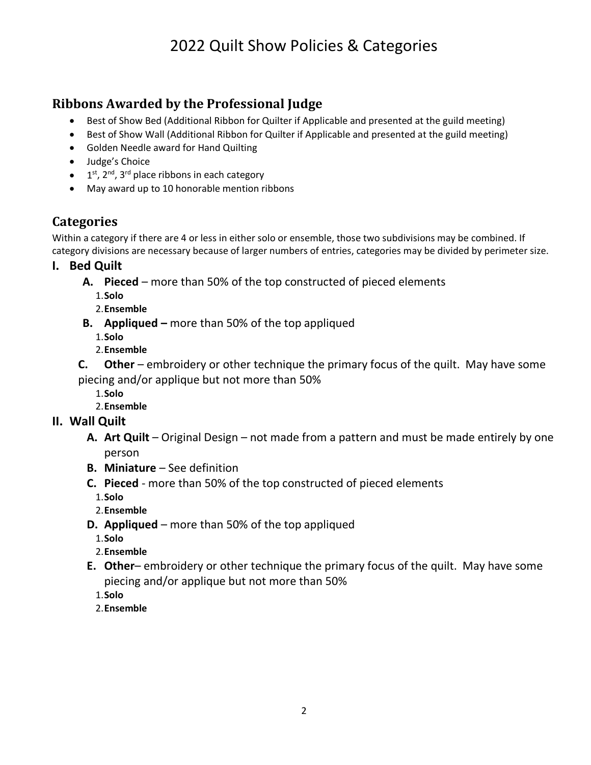# 2022 Quilt Show Policies & Categories

## **Ribbons Awarded by the Professional Judge**

- Best of Show Bed (Additional Ribbon for Quilter if Applicable and presented at the guild meeting)
- Best of Show Wall (Additional Ribbon for Quilter if Applicable and presented at the guild meeting)
- Golden Needle award for Hand Quilting
- Judge's Choice
- $\bullet$  1<sup>st</sup>, 2<sup>nd</sup>, 3<sup>rd</sup> place ribbons in each category
- May award up to 10 honorable mention ribbons

### **Categories**

Within a category if there are 4 or less in either solo or ensemble, those two subdivisions may be combined. If category divisions are necessary because of larger numbers of entries, categories may be divided by perimeter size.

**I. Bed Quilt**

- **A. Pieced** more than 50% of the top constructed of pieced elements
	- 1.**Solo**
	- 2.**Ensemble**
- **B. Appliqued –** more than 50% of the top appliqued
	- 1.**Solo**
	- 2.**Ensemble**
- **C. Other** embroidery or other technique the primary focus of the quilt. May have some
- piecing and/or applique but not more than 50%
	- 1.**Solo**
	- 2.**Ensemble**

#### **II. Wall Quilt**

- **A. Art Quilt**  Original Design not made from a pattern and must be made entirely by one person
- **B. Miniature**  See definition
- **C. Pieced**  more than 50% of the top constructed of pieced elements
	- 1.**Solo**
	- 2.**Ensemble**
- **D. Appliqued**  more than 50% of the top appliqued
	- 1.**Solo**
	- 2.**Ensemble**
- **E. Other** embroidery or other technique the primary focus of the quilt. May have some piecing and/or applique but not more than 50%
	- 1.**Solo**
	- 2.**Ensemble**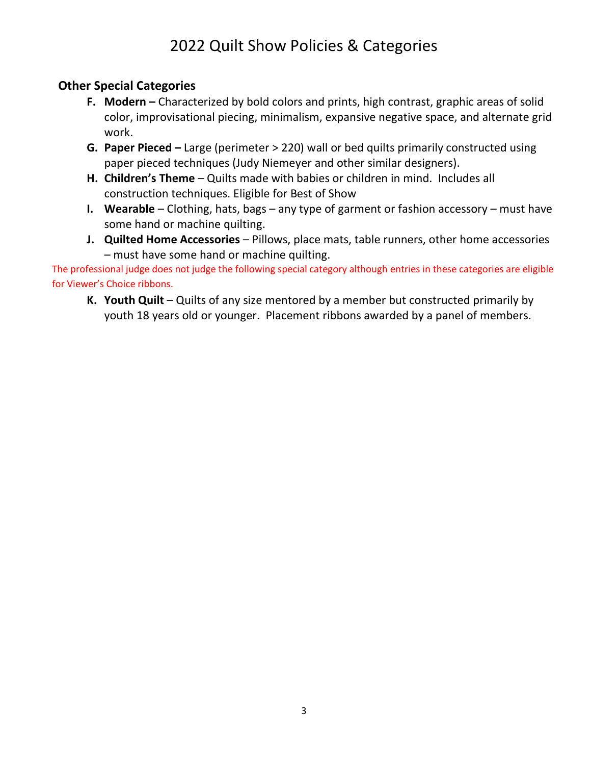# 2022 Quilt Show Policies & Categories

### **Other Special Categories**

- **F. Modern –** Characterized by bold colors and prints, high contrast, graphic areas of solid color, improvisational piecing, minimalism, expansive negative space, and alternate grid work.
- **G. Paper Pieced –** Large (perimeter > 220) wall or bed quilts primarily constructed using paper pieced techniques (Judy Niemeyer and other similar designers).
- **H. Children's Theme**  Quilts made with babies or children in mind. Includes all construction techniques. Eligible for Best of Show
- **I.** Wearable Clothing, hats, bags any type of garment or fashion accessory must have some hand or machine quilting.
- **J.** Quilted Home Accessories Pillows, place mats, table runners, other home accessories – must have some hand or machine quilting.

The professional judge does not judge the following special category although entries in these categories are eligible for Viewer's Choice ribbons.

**K. Youth Quilt** – Quilts of any size mentored by a member but constructed primarily by youth 18 years old or younger. Placement ribbons awarded by a panel of members.